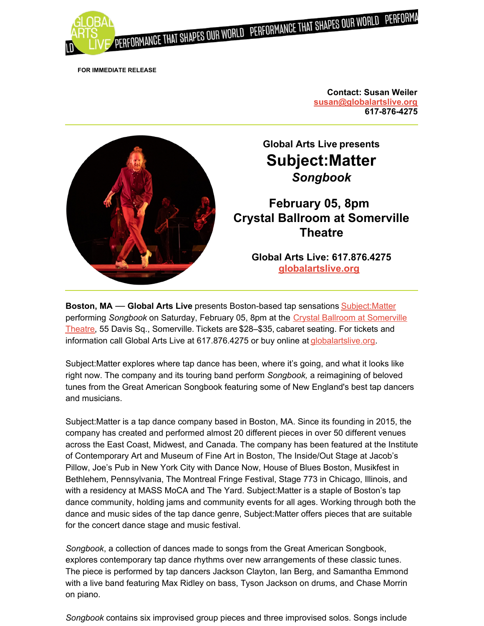

**FOR IMMEDIATE RELEASE**

**Contact: Susan Weiler [susan@globalartslive.org](mailto:susan@globalartslive.org) 617-876-4275**



**Boston, MA** — **Global Arts Live** presents Boston-based tap sensations [Subject:Matter](https://www.globalartslive.org/content/event_page/9875/?utm_source=WS+2022&utm_medium=SL&utm_campaign=Subject+Matter) performing *Songbook* on Saturday, February 05, 8pm at the Crystal Ballroom at Somerville Theatre, 55 Davis Sq., [Somerville.](https://www.globalartslive.org/venue/crystal-ballroom-somerville-theatre?utm_source=WS+2022&utm_medium=SL&utm_campaign=Subject+Matter) Tickets are \$28–\$35, cabaret seating. For tickets and information call Global Arts Live at 617.876.4275 or buy online at [globalartslive.org](https://www.globalartslive.org/content/event_page/9875/?utm_source=WS+2022&utm_medium=SL&utm_campaign=Subject+Matter).

Subject:Matter explores where tap dance has been, where it's going, and what it looks like right now. The company and its touring band perform *Songbook,* a reimagining of beloved tunes from the Great American Songbook featuring some of New England's best tap dancers and musicians.

Subject:Matter is a tap dance company based in Boston, MA. Since its founding in 2015, the company has created and performed almost 20 different pieces in over 50 different venues across the East Coast, Midwest, and Canada. The company has been featured at the Institute of Contemporary Art and Museum of Fine Art in Boston, The Inside/Out Stage at Jacob's Pillow, Joe's Pub in New York City with Dance Now, House of Blues Boston, Musikfest in Bethlehem, Pennsylvania, The Montreal Fringe Festival, Stage 773 in Chicago, Illinois, and with a residency at MASS MoCA and The Yard. Subject:Matter is a staple of Boston's tap dance community, holding jams and community events for all ages. Working through both the dance and music sides of the tap dance genre, Subject:Matter offers pieces that are suitable for the concert dance stage and music festival.

*Songbook*, a collection of dances made to songs from the Great American Songbook, explores contemporary tap dance rhythms over new arrangements of these classic tunes. The piece is performed by tap dancers Jackson Clayton, Ian Berg, and Samantha Emmond with a live band featuring Max Ridley on bass, Tyson Jackson on drums, and Chase Morrin on piano.

*Songbook* contains six improvised group pieces and three improvised solos. Songs include